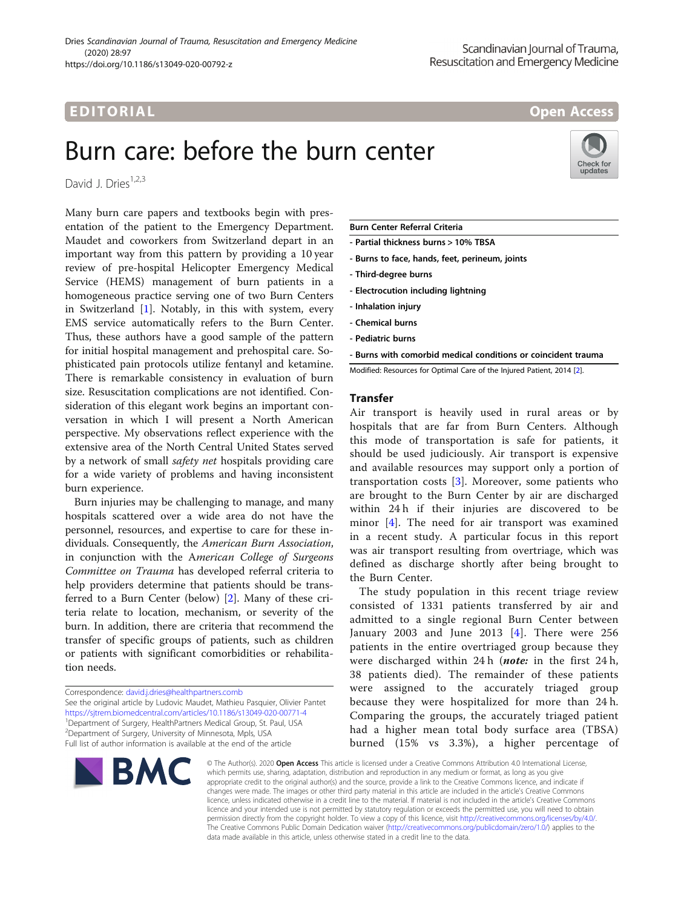# Burn care: before the burn center

David J. Dries<sup>1,2,3</sup>

Many burn care papers and textbooks begin with presentation of the patient to the Emergency Department. Maudet and coworkers from Switzerland depart in an important way from this pattern by providing a 10 year review of pre-hospital Helicopter Emergency Medical Service (HEMS) management of burn patients in a homogeneous practice serving one of two Burn Centers in Switzerland [\[1\]](#page-2-0). Notably, in this with system, every EMS service automatically refers to the Burn Center. Thus, these authors have a good sample of the pattern for initial hospital management and prehospital care. Sophisticated pain protocols utilize fentanyl and ketamine. There is remarkable consistency in evaluation of burn size. Resuscitation complications are not identified. Consideration of this elegant work begins an important conversation in which I will present a North American perspective. My observations reflect experience with the extensive area of the North Central United States served by a network of small *safety net* hospitals providing care for a wide variety of problems and having inconsistent burn experience.

Burn injuries may be challenging to manage, and many hospitals scattered over a wide area do not have the personnel, resources, and expertise to care for these individuals. Consequently, the American Burn Association, in conjunction with the American College of Surgeons Committee on Trauma has developed referral criteria to help providers determine that patients should be transferred to a Burn Center (below) [\[2](#page-2-0)]. Many of these criteria relate to location, mechanism, or severity of the burn. In addition, there are criteria that recommend the transfer of specific groups of patients, such as children or patients with significant comorbidities or rehabilitation needs.

See the original article by Ludovic Maudet, Mathieu Pasquier, Olivier Pantet <https://sjtrem.biomedcentral.com/articles/10.1186/s13049-020-00771-4> <sup>1</sup>Department of Surgery, HealthPartners Medical Group, St. Paul, USA <sup>2</sup> Department of Surgery, University of Minnesota, Mpls, USA Full list of author information is available at the end of the article

# EDI TORIA L Open Access

### Burn Center Referral Criteria

- Partial thickness burns > 10% TBSA
- Burns to face, hands, feet, perineum, joints
- Third-degree burns
- Electrocution including lightning
- Inhalation injury
- Chemical burns
- Pediatric burns
- Burns with comorbid medical conditions or coincident trauma

Modified: Resources for Optimal Care of the Injured Patient, 2014 [[2](#page-2-0)].

### Transfer

Air transport is heavily used in rural areas or by hospitals that are far from Burn Centers. Although this mode of transportation is safe for patients, it should be used judiciously. Air transport is expensive and available resources may support only a portion of transportation costs [[3](#page-2-0)]. Moreover, some patients who are brought to the Burn Center by air are discharged within 24 h if their injuries are discovered to be minor [[4\]](#page-2-0). The need for air transport was examined in a recent study. A particular focus in this report was air transport resulting from overtriage, which was defined as discharge shortly after being brought to the Burn Center.

The study population in this recent triage review consisted of 1331 patients transferred by air and admitted to a single regional Burn Center between January 2003 and June 2013 [[4\]](#page-2-0). There were 256 patients in the entire overtriaged group because they were discharged within 24h (note: in the first 24h, 38 patients died). The remainder of these patients were assigned to the accurately triaged group because they were hospitalized for more than 24 h. Comparing the groups, the accurately triaged patient had a higher mean total body surface area (TBSA) burned (15% vs 3.3%), a higher percentage of







Correspondence: [david.j.dries@healthpartners.comb](mailto:david.j.dries@healthpartners.comb)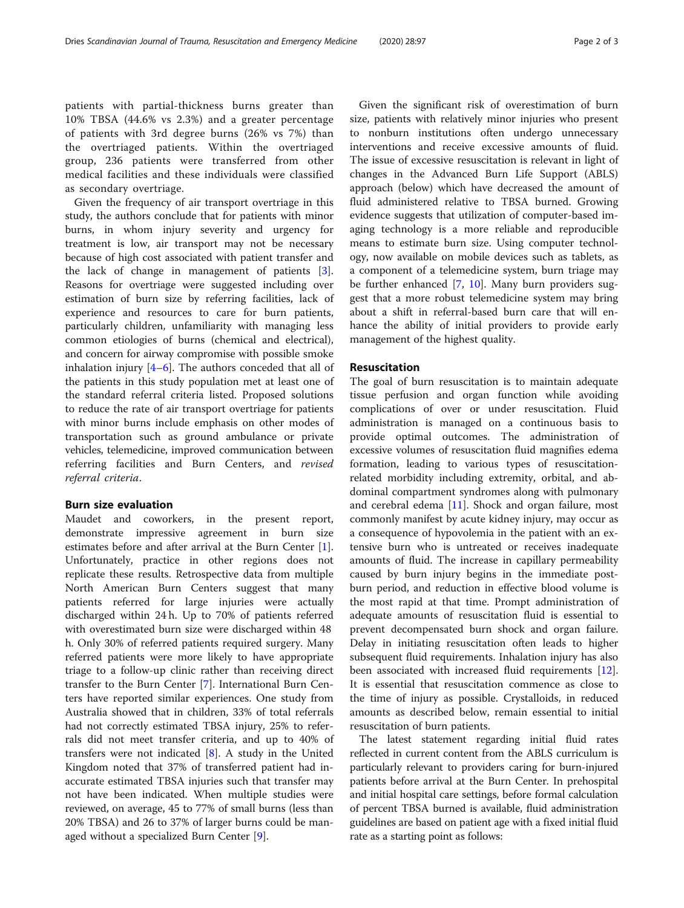patients with partial-thickness burns greater than 10% TBSA (44.6% vs 2.3%) and a greater percentage of patients with 3rd degree burns (26% vs 7%) than the overtriaged patients. Within the overtriaged group, 236 patients were transferred from other medical facilities and these individuals were classified as secondary overtriage.

Given the frequency of air transport overtriage in this study, the authors conclude that for patients with minor burns, in whom injury severity and urgency for treatment is low, air transport may not be necessary because of high cost associated with patient transfer and the lack of change in management of patients [\[3](#page-2-0)]. Reasons for overtriage were suggested including over estimation of burn size by referring facilities, lack of experience and resources to care for burn patients, particularly children, unfamiliarity with managing less common etiologies of burns (chemical and electrical), and concern for airway compromise with possible smoke inhalation injury  $[4-6]$  $[4-6]$  $[4-6]$  $[4-6]$ . The authors conceded that all of the patients in this study population met at least one of the standard referral criteria listed. Proposed solutions to reduce the rate of air transport overtriage for patients with minor burns include emphasis on other modes of transportation such as ground ambulance or private vehicles, telemedicine, improved communication between referring facilities and Burn Centers, and revised referral criteria.

#### Burn size evaluation

Maudet and coworkers, in the present report, demonstrate impressive agreement in burn size estimates before and after arrival at the Burn Center [\[1](#page-2-0)]. Unfortunately, practice in other regions does not replicate these results. Retrospective data from multiple North American Burn Centers suggest that many patients referred for large injuries were actually discharged within 24 h. Up to 70% of patients referred with overestimated burn size were discharged within 48 h. Only 30% of referred patients required surgery. Many referred patients were more likely to have appropriate triage to a follow-up clinic rather than receiving direct transfer to the Burn Center [\[7\]](#page-2-0). International Burn Centers have reported similar experiences. One study from Australia showed that in children, 33% of total referrals had not correctly estimated TBSA injury, 25% to referrals did not meet transfer criteria, and up to 40% of transfers were not indicated [[8\]](#page-2-0). A study in the United Kingdom noted that 37% of transferred patient had inaccurate estimated TBSA injuries such that transfer may not have been indicated. When multiple studies were reviewed, on average, 45 to 77% of small burns (less than 20% TBSA) and 26 to 37% of larger burns could be managed without a specialized Burn Center [[9\]](#page-2-0).

Given the significant risk of overestimation of burn size, patients with relatively minor injuries who present to nonburn institutions often undergo unnecessary interventions and receive excessive amounts of fluid. The issue of excessive resuscitation is relevant in light of changes in the Advanced Burn Life Support (ABLS) approach (below) which have decreased the amount of fluid administered relative to TBSA burned. Growing evidence suggests that utilization of computer-based imaging technology is a more reliable and reproducible means to estimate burn size. Using computer technology, now available on mobile devices such as tablets, as a component of a telemedicine system, burn triage may be further enhanced [\[7](#page-2-0), [10](#page-2-0)]. Many burn providers suggest that a more robust telemedicine system may bring about a shift in referral-based burn care that will enhance the ability of initial providers to provide early management of the highest quality.

#### Resuscitation

The goal of burn resuscitation is to maintain adequate tissue perfusion and organ function while avoiding complications of over or under resuscitation. Fluid administration is managed on a continuous basis to provide optimal outcomes. The administration of excessive volumes of resuscitation fluid magnifies edema formation, leading to various types of resuscitationrelated morbidity including extremity, orbital, and abdominal compartment syndromes along with pulmonary and cerebral edema [\[11](#page-2-0)]. Shock and organ failure, most commonly manifest by acute kidney injury, may occur as a consequence of hypovolemia in the patient with an extensive burn who is untreated or receives inadequate amounts of fluid. The increase in capillary permeability caused by burn injury begins in the immediate postburn period, and reduction in effective blood volume is the most rapid at that time. Prompt administration of adequate amounts of resuscitation fluid is essential to prevent decompensated burn shock and organ failure. Delay in initiating resuscitation often leads to higher subsequent fluid requirements. Inhalation injury has also been associated with increased fluid requirements [\[12](#page-2-0)]. It is essential that resuscitation commence as close to the time of injury as possible. Crystalloids, in reduced amounts as described below, remain essential to initial resuscitation of burn patients.

The latest statement regarding initial fluid rates reflected in current content from the ABLS curriculum is particularly relevant to providers caring for burn-injured patients before arrival at the Burn Center. In prehospital and initial hospital care settings, before formal calculation of percent TBSA burned is available, fluid administration guidelines are based on patient age with a fixed initial fluid rate as a starting point as follows: